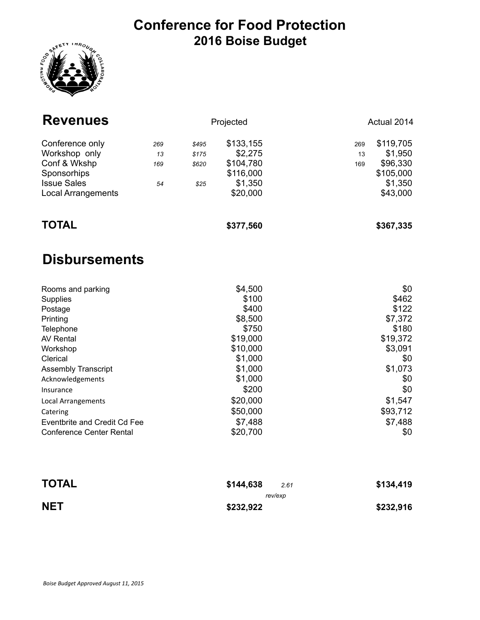## **Conference for Food Protection 2016 Boise Budget**



| <b>Revenues</b>                                                                                                                                                                                                                                                                          |                        |                                 | Projected                                                                                                                                                      |                  | Actual 2014                                                                                                                               |  |
|------------------------------------------------------------------------------------------------------------------------------------------------------------------------------------------------------------------------------------------------------------------------------------------|------------------------|---------------------------------|----------------------------------------------------------------------------------------------------------------------------------------------------------------|------------------|-------------------------------------------------------------------------------------------------------------------------------------------|--|
| Conference only<br>Workshop only<br>Conf & Wkshp<br>Sponsorhips<br><b>Issue Sales</b><br><b>Local Arrangements</b>                                                                                                                                                                       | 269<br>13<br>169<br>54 | \$495<br>\$175<br>\$620<br>\$25 | \$133,155<br>\$2,275<br>\$104,780<br>\$116,000<br>\$1,350<br>\$20,000                                                                                          | 269<br>13<br>169 | \$119,705<br>\$1,950<br>\$96,330<br>\$105,000<br>\$1,350<br>\$43,000                                                                      |  |
| <b>TOTAL</b>                                                                                                                                                                                                                                                                             |                        |                                 | \$377,560                                                                                                                                                      |                  | \$367,335                                                                                                                                 |  |
| <b>Disbursements</b>                                                                                                                                                                                                                                                                     |                        |                                 |                                                                                                                                                                |                  |                                                                                                                                           |  |
| Rooms and parking<br>Supplies<br>Postage<br>Printing<br>Telephone<br><b>AV Rental</b><br>Workshop<br>Clerical<br><b>Assembly Transcript</b><br>Acknowledgements<br>Insurance<br><b>Local Arrangements</b><br>Catering<br>Eventbrite and Credit Cd Fee<br><b>Conference Center Rental</b> |                        |                                 | \$4,500<br>\$100<br>\$400<br>\$8,500<br>\$750<br>\$19,000<br>\$10,000<br>\$1,000<br>\$1,000<br>\$1,000<br>\$200<br>\$20,000<br>\$50,000<br>\$7,488<br>\$20,700 |                  | \$0<br>\$462<br>\$122<br>\$7,372<br>\$180<br>\$19,372<br>\$3,091<br>\$0<br>\$1,073<br>\$0<br>\$0<br>\$1,547<br>\$93,712<br>\$7,488<br>\$0 |  |

| <b>TOTAL</b> | \$144,638<br>2.61 | \$134,419 |
|--------------|-------------------|-----------|
|              | rev/exp           |           |
| <b>NET</b>   | \$232,922         | \$232,916 |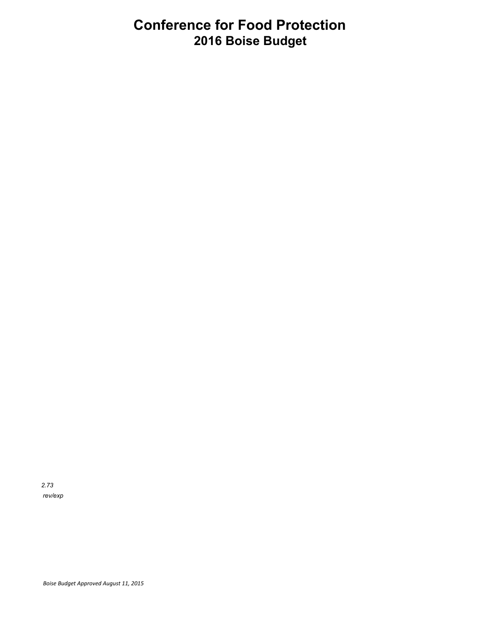## **Conference for Food Protection 2016 Boise Budget**

*2.73 rev/exp*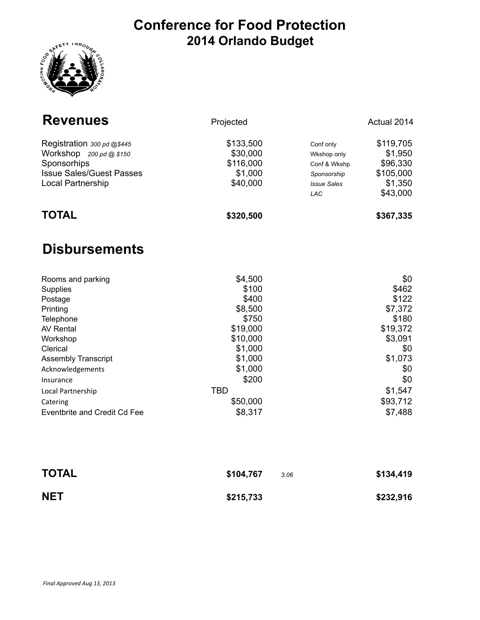## **Conference for Food Protection 2014 Orlando Budget**



| <b>Revenues</b>                                                                                                                                                              | Projected                                                                                                       |                                                                                      | Actual 2014                                                                                      |
|------------------------------------------------------------------------------------------------------------------------------------------------------------------------------|-----------------------------------------------------------------------------------------------------------------|--------------------------------------------------------------------------------------|--------------------------------------------------------------------------------------------------|
| Registration 300 pd @\$445<br>Workshop $200 \text{pd}$ @ \$150<br>Sponsorhips<br><b>Issue Sales/Guest Passes</b><br>Local Partnership                                        | \$133,500<br>\$30,000<br>\$116,000<br>\$1,000<br>\$40,000                                                       | Conf only<br>Wkshop only<br>Conf & Wkshp<br>Sponsorship<br><b>Issue Sales</b><br>LAC | \$119,705<br>\$1,950<br>\$96,330<br>\$105,000<br>\$1,350<br>\$43,000                             |
| <b>TOTAL</b>                                                                                                                                                                 | \$320,500                                                                                                       |                                                                                      | \$367,335                                                                                        |
| <b>Disbursements</b>                                                                                                                                                         |                                                                                                                 |                                                                                      |                                                                                                  |
| Rooms and parking<br>Supplies<br>Postage<br>Printing<br>Telephone<br><b>AV Rental</b><br>Workshop<br>Clerical<br><b>Assembly Transcript</b><br>Acknowledgements<br>Insurance | \$4,500<br>\$100<br>\$400<br>\$8,500<br>\$750<br>\$19,000<br>\$10,000<br>\$1,000<br>\$1,000<br>\$1,000<br>\$200 |                                                                                      | \$0<br>\$462<br>\$122<br>\$7,372<br>\$180<br>\$19,372<br>\$3,091<br>\$0<br>\$1,073<br>\$0<br>\$0 |
| Local Partnership<br>Catering<br><b>Eventbrite and Credit Cd Fee</b>                                                                                                         | <b>TBD</b><br>\$50,000<br>\$8,317                                                                               |                                                                                      | \$1,547<br>\$93,712<br>\$7,488                                                                   |

| <b>TOTAL</b> | \$104,767 | 3.06 | \$134,419 |
|--------------|-----------|------|-----------|
| <b>NET</b>   | \$215,733 |      | \$232,916 |